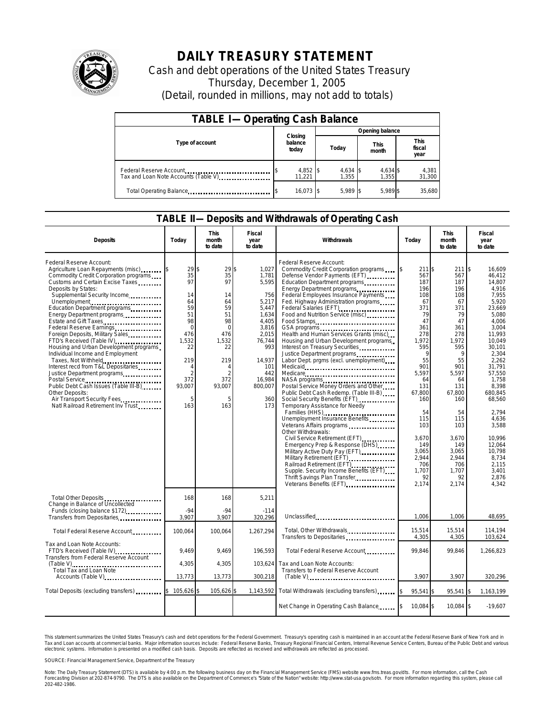

## **DAILY TREASURY STATEMENT**

Cash and debt operations of the United States Treasury Thursday, December 1, 2005 (Detail, rounded in millions, may not add to totals)

| <b>TABLE I-Operating Cash Balance</b>                           |                             |                   |                      |                               |  |  |  |  |
|-----------------------------------------------------------------|-----------------------------|-------------------|----------------------|-------------------------------|--|--|--|--|
|                                                                 |                             | Opening balance   |                      |                               |  |  |  |  |
| Type of account                                                 | Closing<br>balance<br>today | Today             | <b>This</b><br>month | <b>This</b><br>fiscal<br>year |  |  |  |  |
| Federal Reserve Account<br>Tax and Loan Note Accounts (Table V) | 4,852 \$<br>11.221          | 4,634 \$<br>1.355 | 4,634 \$<br>1.355    | 4,381<br>31,300               |  |  |  |  |
| Total Operating Balance                                         | $16.073$ \$                 | $5.989$ \$        | 5.989 \$             | 35.680                        |  |  |  |  |

## **TABLE II—Deposits and Withdrawals of Operating Cash**

| <b>Deposits</b>                                                                                                                                                                                                                                                                                                                                                                                                                                                                                                                                                                                                                                                                                                                       | Today                                                                                                                                        | <b>This</b><br>month<br>to date                                                                                               | Fiscal<br>year<br>to date                                                                                                                                              | Withdrawals                                                                                                                                                                                                                                                                                                                                                                                                                                                                                                                                                                                                                                                                                                                                                                                                                                                                                                                                                                                                                                        | Today                                                                                                                                                                                                                              | <b>This</b><br>month<br>to date                                                                                                                                                                                                      | Fiscal<br>year<br>to date                                                                                                                                                                                                                                                                                                              |  |
|---------------------------------------------------------------------------------------------------------------------------------------------------------------------------------------------------------------------------------------------------------------------------------------------------------------------------------------------------------------------------------------------------------------------------------------------------------------------------------------------------------------------------------------------------------------------------------------------------------------------------------------------------------------------------------------------------------------------------------------|----------------------------------------------------------------------------------------------------------------------------------------------|-------------------------------------------------------------------------------------------------------------------------------|------------------------------------------------------------------------------------------------------------------------------------------------------------------------|----------------------------------------------------------------------------------------------------------------------------------------------------------------------------------------------------------------------------------------------------------------------------------------------------------------------------------------------------------------------------------------------------------------------------------------------------------------------------------------------------------------------------------------------------------------------------------------------------------------------------------------------------------------------------------------------------------------------------------------------------------------------------------------------------------------------------------------------------------------------------------------------------------------------------------------------------------------------------------------------------------------------------------------------------|------------------------------------------------------------------------------------------------------------------------------------------------------------------------------------------------------------------------------------|--------------------------------------------------------------------------------------------------------------------------------------------------------------------------------------------------------------------------------------|----------------------------------------------------------------------------------------------------------------------------------------------------------------------------------------------------------------------------------------------------------------------------------------------------------------------------------------|--|
| Federal Reserve Account:<br>Agriculture Loan Repayments (misc)<br>Commodity Credit Corporation programs<br>Customs and Certain Excise Taxes<br>Deposits by States:<br>Supplemental Security Income<br>Unemployment<br>Education Department programs<br>Energy Department programs<br>Estate and Gift Taxes<br>Federal Reserve Earnings<br>Foreign Deposits, Military Sales<br>FTD's Received (Table IV)<br>Housing and Urban Development programs<br>Individual Income and Employment<br>Taxes, Not Withheld<br>Interest recd from T&L Depositaries<br>Justice Department programs<br>Postal Service<br>Public Debt Cash Issues (Table III-B)<br>Other Deposits:<br>Air Transport Security Fees<br>Natl Railroad Retirement Inv Trust | 29<br>35<br>97<br>14<br>64<br>59<br>51<br>98<br>$\mathbf 0$<br>476<br>1,532<br>22<br>219<br>4<br>$\mathfrak{D}$<br>372<br>93,007<br>5<br>163 | 29<br>\$<br>35<br>97<br>14<br>64<br>59<br>51<br>98<br>$\Omega$<br>476<br>1,532<br>22<br>219<br>2<br>372<br>93,007<br>5<br>163 | 1,027<br>\$<br>1,781<br>5,595<br>756<br>5,217<br>5,447<br>1,634<br>4,405<br>3,816<br>2,015<br>76,744<br>993<br>14,937<br>101<br>442<br>16,984<br>800,007<br>360<br>173 | Federal Reserve Account:<br>Commodity Credit Corporation programs<br>Defense Vendor Payments (EFT)<br>Education Department programs<br>Energy Department programs<br>Federal Employees Insurance Payments<br>Fed. Highway Administration programs<br>Food and Nutrition Service (misc)<br>Food Stamps<br>Health and Human Services Grants (misc)<br>Housing and Urban Development programs<br>Interest on Treasury Securities<br>Justice Department programs<br>Labor Dept. prgms (excl. unemployment)<br>Medicare<br>NASA programs<br>Postal Service Money Orders and Other<br>Public Debt Cash Redemp. (Table III-B)<br>Social Security Benefits (EFT)<br><br>Temporary Assistance for Needy<br>Families (HHS)<br>Unemployment Insurance Benefits<br>Veterans Affairs programs<br>Other Withdrawals:<br>Civil Service Retirement (EFT)<br>Emergency Prep & Response (DHS)<br>Military Active Duty Pay (EFT)<br>Military Retirement (EFT)<br>Railroad Retirement (EFT)<br>Supple. Security Income Benefits (EFT).<br>Thrift Savings Plan Transfer | 211 \$<br>567<br>187<br>196<br>108<br>67<br>371<br>79<br>47<br>361<br>278<br>1,972<br>595<br>55<br>901<br>5,597<br>64<br>131<br>67.800<br>160<br>54<br>115<br>103<br>3,670<br>149<br>3.065<br>2,944<br>706<br>1,707<br>92<br>2,174 | 211<br>567<br>187<br>196<br>108<br>67<br>371<br>79<br>47<br>361<br>278<br>1,972<br>595<br>q<br>55<br>901<br>5,597<br>64<br>131<br>67,800<br>160<br>54<br>115<br>103<br>3,670<br>149<br>3.065<br>2,944<br>706<br>1,707<br>92<br>2,174 | $\overline{\mathbf{3}}$<br>16.609<br>46.412<br>14.807<br>4.916<br>7,955<br>5,920<br>23.669<br>5,080<br>4.006<br>3,004<br>11,993<br>10,049<br>30,101<br>2,304<br>2,262<br>31.791<br>57,550<br>1,758<br>8.398<br>680.845<br>68,560<br>2,794<br>4.636<br>3,588<br>10.996<br>12,064<br>10.798<br>8,734<br>2,115<br>3.401<br>2,876<br>4,342 |  |
| Total Other Deposits<br>Change in Balance of Uncollected<br>Funds (closing balance \$172)                                                                                                                                                                                                                                                                                                                                                                                                                                                                                                                                                                                                                                             | 168<br>$-94$                                                                                                                                 | 168<br>$-94$                                                                                                                  | 5,211<br>$-114$                                                                                                                                                        |                                                                                                                                                                                                                                                                                                                                                                                                                                                                                                                                                                                                                                                                                                                                                                                                                                                                                                                                                                                                                                                    |                                                                                                                                                                                                                                    |                                                                                                                                                                                                                                      |                                                                                                                                                                                                                                                                                                                                        |  |
| Transfers from Depositaries                                                                                                                                                                                                                                                                                                                                                                                                                                                                                                                                                                                                                                                                                                           | 3.907                                                                                                                                        | 3.907                                                                                                                         | 320,296                                                                                                                                                                | Unclassified                                                                                                                                                                                                                                                                                                                                                                                                                                                                                                                                                                                                                                                                                                                                                                                                                                                                                                                                                                                                                                       | 1,006                                                                                                                                                                                                                              | 1,006                                                                                                                                                                                                                                | 48,695                                                                                                                                                                                                                                                                                                                                 |  |
| Total Federal Reserve Account                                                                                                                                                                                                                                                                                                                                                                                                                                                                                                                                                                                                                                                                                                         | 100,064                                                                                                                                      | 100,064                                                                                                                       | 1,267,294                                                                                                                                                              | Total, Other Withdrawals<br>Transfers to Depositaries                                                                                                                                                                                                                                                                                                                                                                                                                                                                                                                                                                                                                                                                                                                                                                                                                                                                                                                                                                                              | 15.514<br>4,305                                                                                                                                                                                                                    | 15.514<br>4,305                                                                                                                                                                                                                      | 114.194<br>103,624                                                                                                                                                                                                                                                                                                                     |  |
| Tax and Loan Note Accounts:<br>FTD's Received (Table IV)<br>Transfers from Federal Reserve Account                                                                                                                                                                                                                                                                                                                                                                                                                                                                                                                                                                                                                                    | 9.469                                                                                                                                        | 9,469                                                                                                                         | 196,593                                                                                                                                                                | Total Federal Reserve Account                                                                                                                                                                                                                                                                                                                                                                                                                                                                                                                                                                                                                                                                                                                                                                                                                                                                                                                                                                                                                      | 99,846                                                                                                                                                                                                                             | 99,846                                                                                                                                                                                                                               | 1,266,823                                                                                                                                                                                                                                                                                                                              |  |
| Total Tax and Loan Note                                                                                                                                                                                                                                                                                                                                                                                                                                                                                                                                                                                                                                                                                                               | 4,305                                                                                                                                        | 4,305                                                                                                                         | 103,624                                                                                                                                                                | Tax and Loan Note Accounts:<br><b>Transfers to Federal Reserve Account</b>                                                                                                                                                                                                                                                                                                                                                                                                                                                                                                                                                                                                                                                                                                                                                                                                                                                                                                                                                                         |                                                                                                                                                                                                                                    |                                                                                                                                                                                                                                      |                                                                                                                                                                                                                                                                                                                                        |  |
| Accounts (Table V)                                                                                                                                                                                                                                                                                                                                                                                                                                                                                                                                                                                                                                                                                                                    | 13,773                                                                                                                                       | 13,773                                                                                                                        | 300,218                                                                                                                                                                | $(Table V)$                                                                                                                                                                                                                                                                                                                                                                                                                                                                                                                                                                                                                                                                                                                                                                                                                                                                                                                                                                                                                                        | 3,907                                                                                                                                                                                                                              | 3,907                                                                                                                                                                                                                                | 320,296                                                                                                                                                                                                                                                                                                                                |  |
| Total Deposits (excluding transfers)                                                                                                                                                                                                                                                                                                                                                                                                                                                                                                                                                                                                                                                                                                  | 105,626                                                                                                                                      | 105,626                                                                                                                       | 1,143,592                                                                                                                                                              | Total Withdrawals (excluding transfers)                                                                                                                                                                                                                                                                                                                                                                                                                                                                                                                                                                                                                                                                                                                                                                                                                                                                                                                                                                                                            | 95,541 \$                                                                                                                                                                                                                          | 95,541                                                                                                                                                                                                                               | 1,163,199                                                                                                                                                                                                                                                                                                                              |  |
|                                                                                                                                                                                                                                                                                                                                                                                                                                                                                                                                                                                                                                                                                                                                       |                                                                                                                                              |                                                                                                                               |                                                                                                                                                                        | Net Change in Operating Cash Balance                                                                                                                                                                                                                                                                                                                                                                                                                                                                                                                                                                                                                                                                                                                                                                                                                                                                                                                                                                                                               | 10,084 \$                                                                                                                                                                                                                          | 10,084 \$                                                                                                                                                                                                                            | $-19,607$                                                                                                                                                                                                                                                                                                                              |  |

This statement summarizes the United States Treasury's cash and debt operations for the Federal Government. Treasury's operating cash is maintained<br>Tax and Loan accounts at commercial banks. Major information sources inclu narizes the United States Treasury's cash and debt operations for the Federal Government. Treasury's operating cash is maintained in an account at the Federal Reserve Bank of New York and in<br>ints at commercial banks. Major

SOURCE: Financial Management Service, Department of the Treasury

Note: The Daily Treasury Statement (DTS) is available by 4:00 p.m. the following business day on the Financial Management Service (FMS) website www.fms.treas.gov/dts. For more information, call the Cash<br>Forecasting Divisio 202-482-1986.